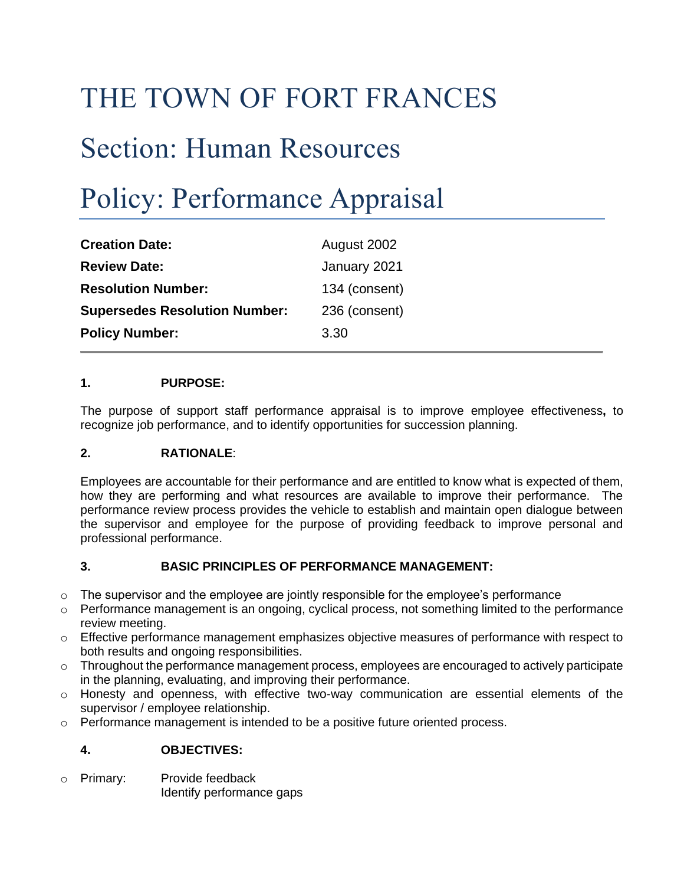## THE TOWN OF FORT FRANCES

## Section: Human Resources

# Policy: Performance Appraisal

| <b>Creation Date:</b>                | August 2002   |
|--------------------------------------|---------------|
| <b>Review Date:</b>                  | January 2021  |
| <b>Resolution Number:</b>            | 134 (consent) |
| <b>Supersedes Resolution Number:</b> | 236 (consent) |
| <b>Policy Number:</b>                | 3.30          |

## **1. PURPOSE:**

The purpose of support staff performance appraisal is to improve employee effectiveness**,** to recognize job performance, and to identify opportunities for succession planning.

## **2. RATIONALE**:

Employees are accountable for their performance and are entitled to know what is expected of them, how they are performing and what resources are available to improve their performance. The performance review process provides the vehicle to establish and maintain open dialogue between the supervisor and employee for the purpose of providing feedback to improve personal and professional performance.

## **3. BASIC PRINCIPLES OF PERFORMANCE MANAGEMENT:**

- $\circ$  The supervisor and the employee are jointly responsible for the employee's performance
- $\circ$  Performance management is an ongoing, cyclical process, not something limited to the performance review meeting.
- $\circ$  Effective performance management emphasizes objective measures of performance with respect to both results and ongoing responsibilities.
- $\circ$  Throughout the performance management process, employees are encouraged to actively participate in the planning, evaluating, and improving their performance.
- $\circ$  Honesty and openness, with effective two-way communication are essential elements of the supervisor / employee relationship.
- $\circ$  Performance management is intended to be a positive future oriented process.

## **4. OBJECTIVES:**

o Primary: Provide feedback Identify performance gaps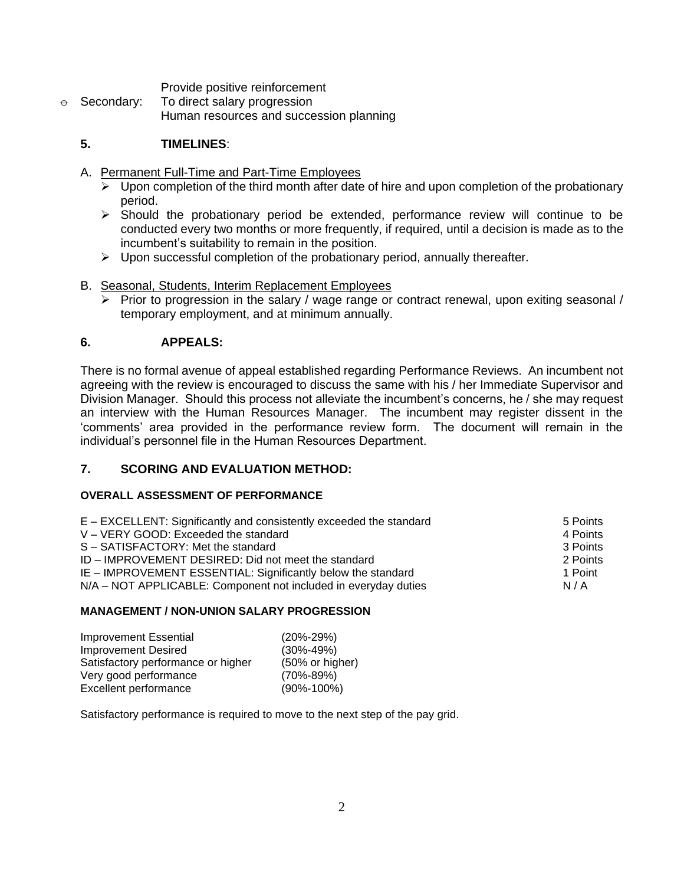Provide positive reinforcement

 $\theta$  Secondary: To direct salary progression Human resources and succession planning

## **5. TIMELINES**:

- A. Permanent Full-Time and Part-Time Employees
	- $\triangleright$  Upon completion of the third month after date of hire and upon completion of the probationary period.
	- $\triangleright$  Should the probationary period be extended, performance review will continue to be conducted every two months or more frequently, if required, until a decision is made as to the incumbent's suitability to remain in the position.
	- $\triangleright$  Upon successful completion of the probationary period, annually thereafter.
- B. Seasonal, Students, Interim Replacement Employees
	- $\triangleright$  Prior to progression in the salary / wage range or contract renewal, upon exiting seasonal / temporary employment, and at minimum annually.

## **6. APPEALS:**

There is no formal avenue of appeal established regarding Performance Reviews. An incumbent not agreeing with the review is encouraged to discuss the same with his / her Immediate Supervisor and Division Manager. Should this process not alleviate the incumbent's concerns, he / she may request an interview with the Human Resources Manager. The incumbent may register dissent in the 'comments' area provided in the performance review form. The document will remain in the individual's personnel file in the Human Resources Department.

## **7. SCORING AND EVALUATION METHOD:**

#### **OVERALL ASSESSMENT OF PERFORMANCE**

| E - EXCELLENT: Significantly and consistently exceeded the standard | 5 Points |
|---------------------------------------------------------------------|----------|
| V - VERY GOOD: Exceeded the standard                                | 4 Points |
| S - SATISFACTORY: Met the standard                                  | 3 Points |
| ID – IMPROVEMENT DESIRED: Did not meet the standard                 | 2 Points |
| IE – IMPROVEMENT ESSENTIAL: Significantly below the standard        | 1 Point  |
| N/A – NOT APPLICABLE: Component not included in everyday duties     | N/A      |

#### **MANAGEMENT / NON-UNION SALARY PROGRESSION**

| <b>Improvement Essential</b>       | $(20\% - 29\%)$  |
|------------------------------------|------------------|
| <b>Improvement Desired</b>         | $(30\% - 49\%)$  |
| Satisfactory performance or higher | (50% or higher)  |
| Very good performance              | $(70\% - 89\%)$  |
| Excellent performance              | $(90\% - 100\%)$ |

Satisfactory performance is required to move to the next step of the pay grid.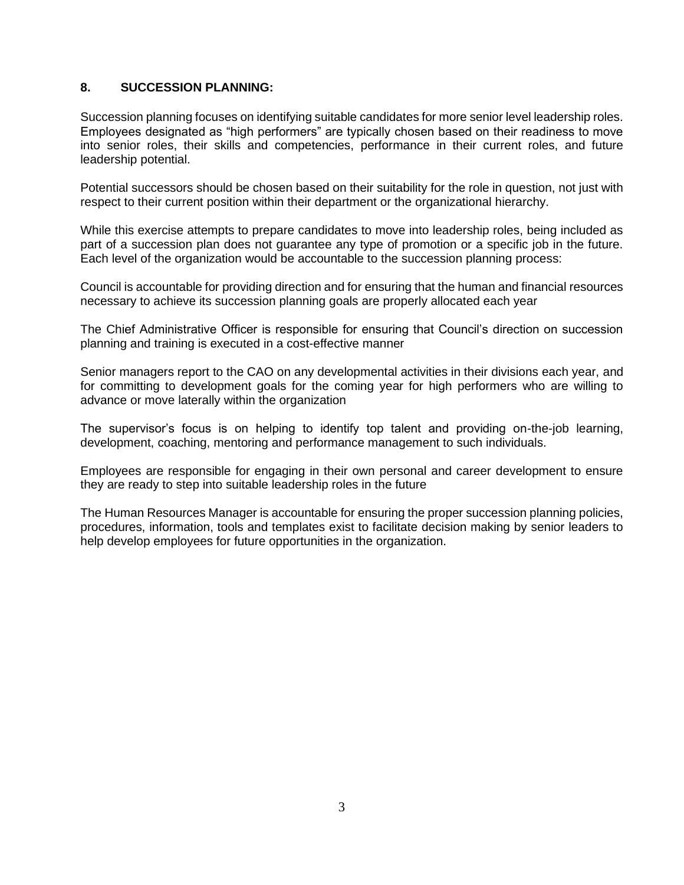## **8. SUCCESSION PLANNING:**

Succession planning focuses on identifying suitable candidates for more senior level leadership roles. Employees designated as "high performers" are typically chosen based on their readiness to move into senior roles, their skills and competencies, performance in their current roles, and future leadership potential.

Potential successors should be chosen based on their suitability for the role in question, not just with respect to their current position within their department or the organizational hierarchy.

While this exercise attempts to prepare candidates to move into leadership roles, being included as part of a succession plan does not guarantee any type of promotion or a specific job in the future. Each level of the organization would be accountable to the succession planning process:

Council is accountable for providing direction and for ensuring that the human and financial resources necessary to achieve its succession planning goals are properly allocated each year

The Chief Administrative Officer is responsible for ensuring that Council's direction on succession planning and training is executed in a cost-effective manner

Senior managers report to the CAO on any developmental activities in their divisions each year, and for committing to development goals for the coming year for high performers who are willing to advance or move laterally within the organization

The supervisor's focus is on helping to identify top talent and providing on-the-job learning, development, coaching, mentoring and performance management to such individuals.

Employees are responsible for engaging in their own personal and career development to ensure they are ready to step into suitable leadership roles in the future

The Human Resources Manager is accountable for ensuring the proper succession planning policies, procedures, information, tools and templates exist to facilitate decision making by senior leaders to help develop employees for future opportunities in the organization.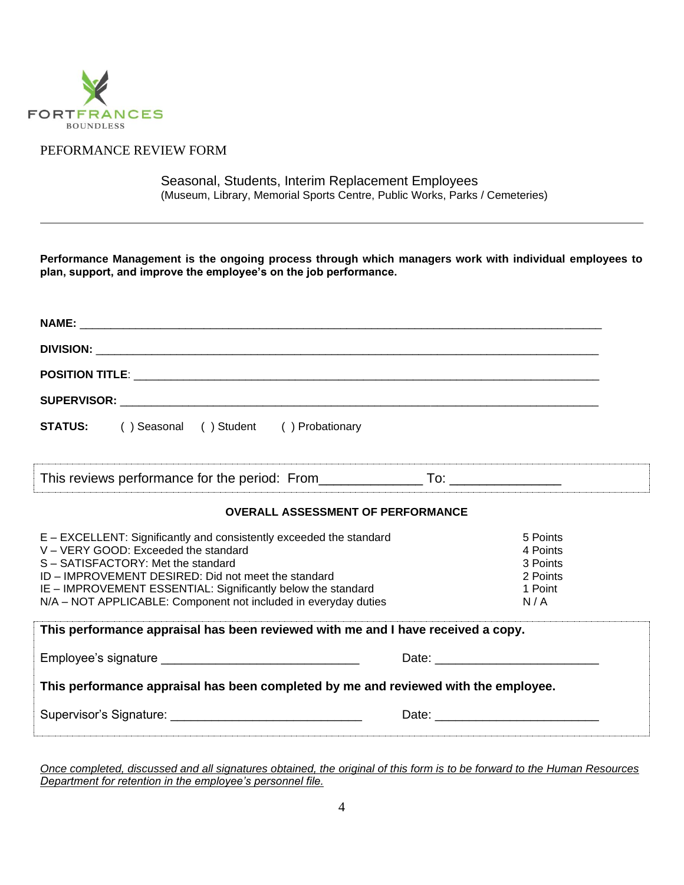

## PEFORMANCE REVIEW FORM

Seasonal, Students, Interim Replacement Employees (Museum, Library, Memorial Sports Centre, Public Works, Parks / Cemeteries)

**Performance Management is the ongoing process through which managers work with individual employees to plan, support, and improve the employee's on the job performance.**

| <b>STATUS:</b> () Seasonal () Student () Probationary                                                                                                                                                                                                                                                                                     |                                                                |
|-------------------------------------------------------------------------------------------------------------------------------------------------------------------------------------------------------------------------------------------------------------------------------------------------------------------------------------------|----------------------------------------------------------------|
| This reviews performance for the period: From ___________________________________                                                                                                                                                                                                                                                         |                                                                |
| <b>OVERALL ASSESSMENT OF PERFORMANCE</b>                                                                                                                                                                                                                                                                                                  |                                                                |
| E - EXCELLENT: Significantly and consistently exceeded the standard<br>V - VERY GOOD: Exceeded the standard<br>S-SATISFACTORY: Met the standard<br>ID - IMPROVEMENT DESIRED: Did not meet the standard<br>IE - IMPROVEMENT ESSENTIAL: Significantly below the standard<br>N/A - NOT APPLICABLE: Component not included in everyday duties | 5 Points<br>4 Points<br>3 Points<br>2 Points<br>1 Point<br>N/A |
| This performance appraisal has been reviewed with me and I have received a copy.                                                                                                                                                                                                                                                          |                                                                |
|                                                                                                                                                                                                                                                                                                                                           |                                                                |
| This performance appraisal has been completed by me and reviewed with the employee.                                                                                                                                                                                                                                                       |                                                                |
|                                                                                                                                                                                                                                                                                                                                           |                                                                |
|                                                                                                                                                                                                                                                                                                                                           |                                                                |

*Once completed, discussed and all signatures obtained, the original of this form is to be forward to the Human Resources Department for retention in the employee's personnel file.*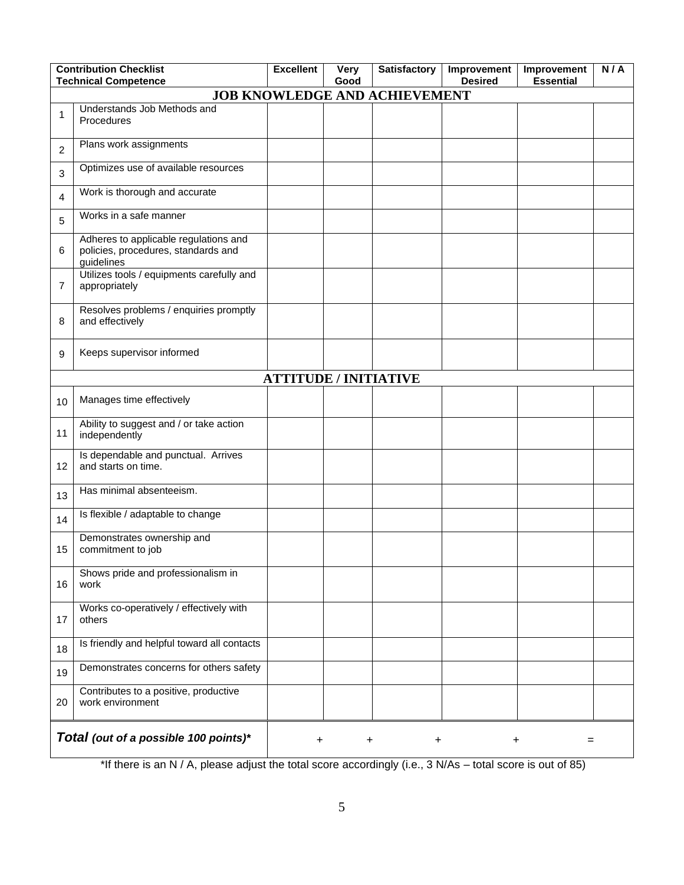|    | <b>Contribution Checklist</b><br><b>Technical Competence</b>                               | <b>Excellent</b>             | <b>Very</b><br>Good | <b>Satisfactory</b>                  | Improvement<br><b>Desired</b> | Improvement<br><b>Essential</b> | N/A |
|----|--------------------------------------------------------------------------------------------|------------------------------|---------------------|--------------------------------------|-------------------------------|---------------------------------|-----|
|    |                                                                                            |                              |                     | <b>JOB KNOWLEDGE AND ACHIEVEMENT</b> |                               |                                 |     |
| 1  | Understands Job Methods and<br>Procedures                                                  |                              |                     |                                      |                               |                                 |     |
| 2  | Plans work assignments                                                                     |                              |                     |                                      |                               |                                 |     |
| 3  | Optimizes use of available resources                                                       |                              |                     |                                      |                               |                                 |     |
| 4  | Work is thorough and accurate                                                              |                              |                     |                                      |                               |                                 |     |
| 5  | Works in a safe manner                                                                     |                              |                     |                                      |                               |                                 |     |
| 6  | Adheres to applicable regulations and<br>policies, procedures, standards and<br>guidelines |                              |                     |                                      |                               |                                 |     |
| 7  | Utilizes tools / equipments carefully and<br>appropriately                                 |                              |                     |                                      |                               |                                 |     |
| 8  | Resolves problems / enquiries promptly<br>and effectively                                  |                              |                     |                                      |                               |                                 |     |
| 9  | Keeps supervisor informed                                                                  |                              |                     |                                      |                               |                                 |     |
|    |                                                                                            | <b>ATTITUDE / INITIATIVE</b> |                     |                                      |                               |                                 |     |
| 10 | Manages time effectively                                                                   |                              |                     |                                      |                               |                                 |     |
| 11 | Ability to suggest and / or take action<br>independently                                   |                              |                     |                                      |                               |                                 |     |
| 12 | Is dependable and punctual. Arrives<br>and starts on time.                                 |                              |                     |                                      |                               |                                 |     |
| 13 | Has minimal absenteeism.                                                                   |                              |                     |                                      |                               |                                 |     |
| 14 | Is flexible / adaptable to change                                                          |                              |                     |                                      |                               |                                 |     |
| 15 | Demonstrates ownership and<br>commitment to job                                            |                              |                     |                                      |                               |                                 |     |
| 16 | Shows pride and professionalism in<br>work                                                 |                              |                     |                                      |                               |                                 |     |
| 17 | Works co-operatively / effectively with<br>others                                          |                              |                     |                                      |                               |                                 |     |
| 18 | Is friendly and helpful toward all contacts                                                |                              |                     |                                      |                               |                                 |     |
| 19 | Demonstrates concerns for others safety                                                    |                              |                     |                                      |                               |                                 |     |
| 20 | Contributes to a positive, productive<br>work environment                                  |                              |                     |                                      |                               |                                 |     |
|    | Total (out of a possible 100 points)*                                                      | $\ddot{}$                    | +                   | +                                    | +                             | $=$                             |     |

\*If there is an N / A, please adjust the total score accordingly (i.e., 3 N/As – total score is out of 85)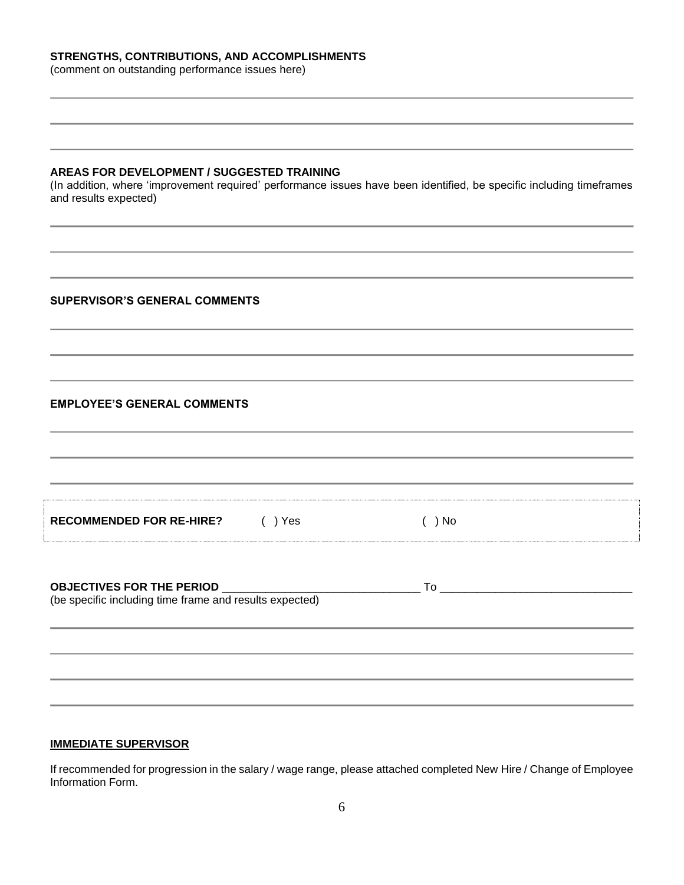### **STRENGTHS, CONTRIBUTIONS, AND ACCOMPLISHMENTS**

(comment on outstanding performance issues here)

#### **AREAS FOR DEVELOPMENT / SUGGESTED TRAINING**

(In addition, where 'improvement required' performance issues have been identified, be specific including timeframes and results expected)

#### **SUPERVISOR'S GENERAL COMMENTS**

#### **EMPLOYEE'S GENERAL COMMENTS**

| <b>RECOMMENDED FOR RE-HIRE?</b> | Yes | ) No |  |
|---------------------------------|-----|------|--|

| <b>OBJECTIVES FOR THE PERIOD</b>                        |  |
|---------------------------------------------------------|--|
| (be specific including time frame and results expected) |  |

#### **IMMEDIATE SUPERVISOR**

If recommended for progression in the salary / wage range, please attached completed New Hire / Change of Employee Information Form.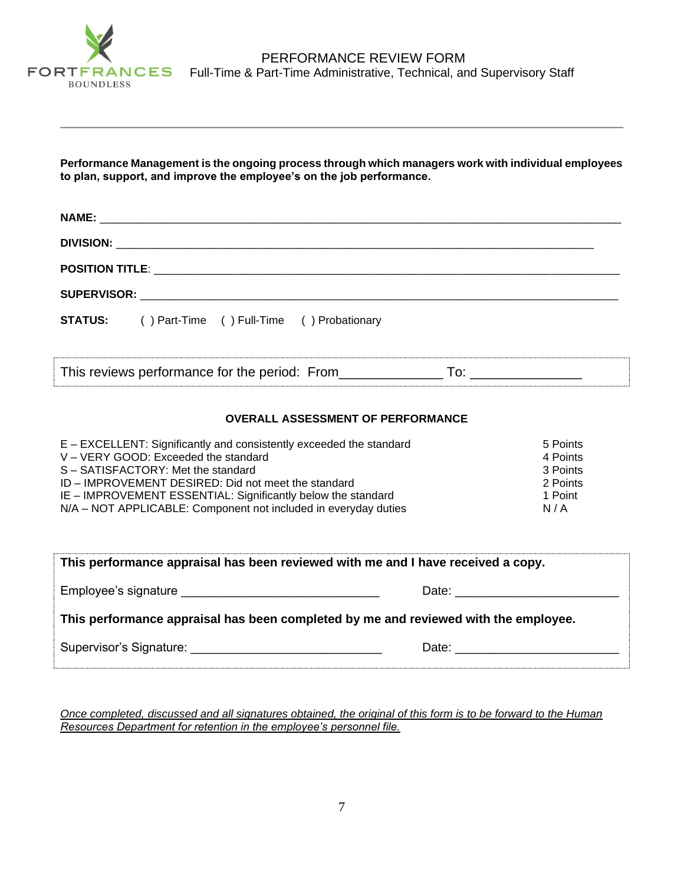

**Performance Management is the ongoing process through which managers work with individual employees to plan, support, and improve the employee's on the job performance.**

| <b>STATUS:</b> () Part-Time () Full-Time () Probationary |  |
|----------------------------------------------------------|--|
| This reviews performance for the period: From            |  |

### **OVERALL ASSESSMENT OF PERFORMANCE**

| E – EXCELLENT: Significantly and consistently exceeded the standard | 5 Points |
|---------------------------------------------------------------------|----------|
| V - VERY GOOD: Exceeded the standard                                | 4 Points |
| S - SATISFACTORY: Met the standard                                  | 3 Points |
| ID – IMPROVEMENT DESIRED: Did not meet the standard                 | 2 Points |
| IE - IMPROVEMENT ESSENTIAL: Significantly below the standard        | 1 Point  |
| N/A - NOT APPLICABLE: Component not included in everyday duties     | N/A      |

| This performance appraisal has been reviewed with me and I have received a copy.                                                                                                                                               |  |  |  |  |  |
|--------------------------------------------------------------------------------------------------------------------------------------------------------------------------------------------------------------------------------|--|--|--|--|--|
|                                                                                                                                                                                                                                |  |  |  |  |  |
| This performance appraisal has been completed by me and reviewed with the employee.                                                                                                                                            |  |  |  |  |  |
| Date: the contract of the contract of the contract of the contract of the contract of the contract of the contract of the contract of the contract of the contract of the contract of the contract of the contract of the cont |  |  |  |  |  |

*Once completed, discussed and all signatures obtained, the original of this form is to be forward to the Human Resources Department for retention in the employee's personnel file.*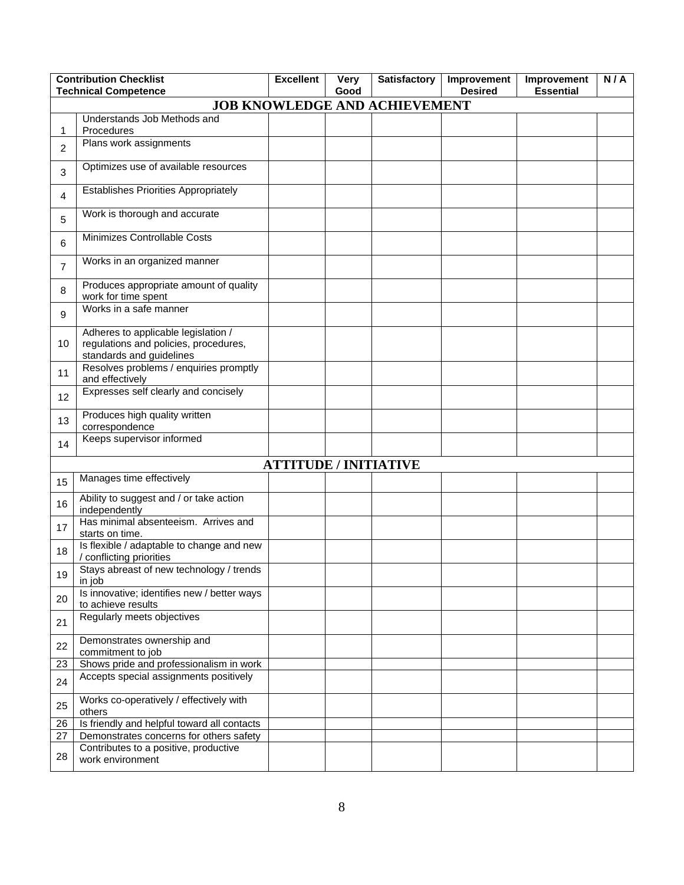|                | <b>Contribution Checklist</b><br><b>Technical Competence</b>                                             | <b>Excellent</b>             | <b>Very</b><br>Good | <b>Satisfactory</b> | Improvement<br><b>Desired</b> | Improvement<br><b>Essential</b> | N/A |
|----------------|----------------------------------------------------------------------------------------------------------|------------------------------|---------------------|---------------------|-------------------------------|---------------------------------|-----|
|                | <b>JOB KNOWLEDGE AND ACHIEVEMENT</b>                                                                     |                              |                     |                     |                               |                                 |     |
| 1              | Understands Job Methods and<br>Procedures                                                                |                              |                     |                     |                               |                                 |     |
| $\overline{2}$ | Plans work assignments                                                                                   |                              |                     |                     |                               |                                 |     |
| 3              | Optimizes use of available resources                                                                     |                              |                     |                     |                               |                                 |     |
| $\overline{4}$ | <b>Establishes Priorities Appropriately</b>                                                              |                              |                     |                     |                               |                                 |     |
| 5              | Work is thorough and accurate                                                                            |                              |                     |                     |                               |                                 |     |
| 6              | Minimizes Controllable Costs                                                                             |                              |                     |                     |                               |                                 |     |
| $\overline{7}$ | Works in an organized manner                                                                             |                              |                     |                     |                               |                                 |     |
| 8              | Produces appropriate amount of quality<br>work for time spent                                            |                              |                     |                     |                               |                                 |     |
| 9              | Works in a safe manner                                                                                   |                              |                     |                     |                               |                                 |     |
| 10             | Adheres to applicable legislation /<br>regulations and policies, procedures,<br>standards and guidelines |                              |                     |                     |                               |                                 |     |
| 11             | Resolves problems / enquiries promptly<br>and effectively                                                |                              |                     |                     |                               |                                 |     |
| 12             | Expresses self clearly and concisely                                                                     |                              |                     |                     |                               |                                 |     |
| 13             | Produces high quality written<br>correspondence                                                          |                              |                     |                     |                               |                                 |     |
| 14             | Keeps supervisor informed                                                                                |                              |                     |                     |                               |                                 |     |
|                |                                                                                                          | <b>ATTITUDE / INITIATIVE</b> |                     |                     |                               |                                 |     |
| 15             | Manages time effectively                                                                                 |                              |                     |                     |                               |                                 |     |
| 16             | Ability to suggest and / or take action<br>independently                                                 |                              |                     |                     |                               |                                 |     |
| 17             | Has minimal absenteeism. Arrives and<br>starts on time.                                                  |                              |                     |                     |                               |                                 |     |
| 18             | Is flexible / adaptable to change and new<br>/ conflicting priorities                                    |                              |                     |                     |                               |                                 |     |
| 19             | Stays abreast of new technology / trends<br>in job                                                       |                              |                     |                     |                               |                                 |     |
| 20             | Is innovative; identifies new / better ways<br>to achieve results                                        |                              |                     |                     |                               |                                 |     |
| 21             | Regularly meets objectives                                                                               |                              |                     |                     |                               |                                 |     |
| 22             | Demonstrates ownership and<br>commitment to job                                                          |                              |                     |                     |                               |                                 |     |
| 23             | Shows pride and professionalism in work                                                                  |                              |                     |                     |                               |                                 |     |
| 24             | Accepts special assignments positively                                                                   |                              |                     |                     |                               |                                 |     |
| 25             | Works co-operatively / effectively with<br>others                                                        |                              |                     |                     |                               |                                 |     |
| 26             | Is friendly and helpful toward all contacts                                                              |                              |                     |                     |                               |                                 |     |
| 27             | Demonstrates concerns for others safety                                                                  |                              |                     |                     |                               |                                 |     |
| 28             | Contributes to a positive, productive<br>work environment                                                |                              |                     |                     |                               |                                 |     |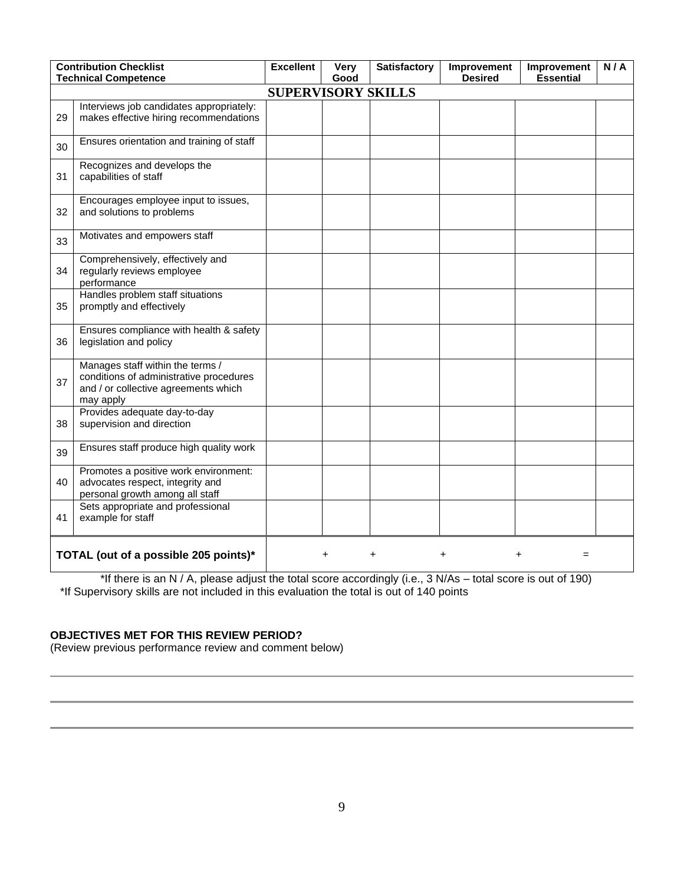|    | <b>Contribution Checklist</b><br><b>Technical Competence</b>                                                                     | <b>Excellent</b> | <b>Very</b><br>Good | <b>Satisfactory</b> | Improvement<br><b>Desired</b> | Improvement<br><b>Essential</b> | N/A |  |  |
|----|----------------------------------------------------------------------------------------------------------------------------------|------------------|---------------------|---------------------|-------------------------------|---------------------------------|-----|--|--|
|    | <b>SUPERVISORY SKILLS</b>                                                                                                        |                  |                     |                     |                               |                                 |     |  |  |
| 29 | Interviews job candidates appropriately:<br>makes effective hiring recommendations                                               |                  |                     |                     |                               |                                 |     |  |  |
| 30 | Ensures orientation and training of staff                                                                                        |                  |                     |                     |                               |                                 |     |  |  |
| 31 | Recognizes and develops the<br>capabilities of staff                                                                             |                  |                     |                     |                               |                                 |     |  |  |
| 32 | Encourages employee input to issues,<br>and solutions to problems                                                                |                  |                     |                     |                               |                                 |     |  |  |
| 33 | Motivates and empowers staff                                                                                                     |                  |                     |                     |                               |                                 |     |  |  |
| 34 | Comprehensively, effectively and<br>regularly reviews employee<br>performance                                                    |                  |                     |                     |                               |                                 |     |  |  |
| 35 | Handles problem staff situations<br>promptly and effectively                                                                     |                  |                     |                     |                               |                                 |     |  |  |
| 36 | Ensures compliance with health & safety<br>legislation and policy                                                                |                  |                     |                     |                               |                                 |     |  |  |
| 37 | Manages staff within the terms /<br>conditions of administrative procedures<br>and / or collective agreements which<br>may apply |                  |                     |                     |                               |                                 |     |  |  |
| 38 | Provides adequate day-to-day<br>supervision and direction                                                                        |                  |                     |                     |                               |                                 |     |  |  |
| 39 | Ensures staff produce high quality work                                                                                          |                  |                     |                     |                               |                                 |     |  |  |
| 40 | Promotes a positive work environment:<br>advocates respect, integrity and<br>personal growth among all staff                     |                  |                     |                     |                               |                                 |     |  |  |
| 41 | Sets appropriate and professional<br>example for staff                                                                           |                  |                     |                     |                               |                                 |     |  |  |
|    | TOTAL (out of a possible 205 points)*<br>+                                                                                       |                  |                     |                     |                               |                                 |     |  |  |

\*If there is an N / A, please adjust the total score accordingly (i.e., 3 N/As – total score is out of 190) \*If Supervisory skills are not included in this evaluation the total is out of 140 points

## **OBJECTIVES MET FOR THIS REVIEW PERIOD?**

(Review previous performance review and comment below)